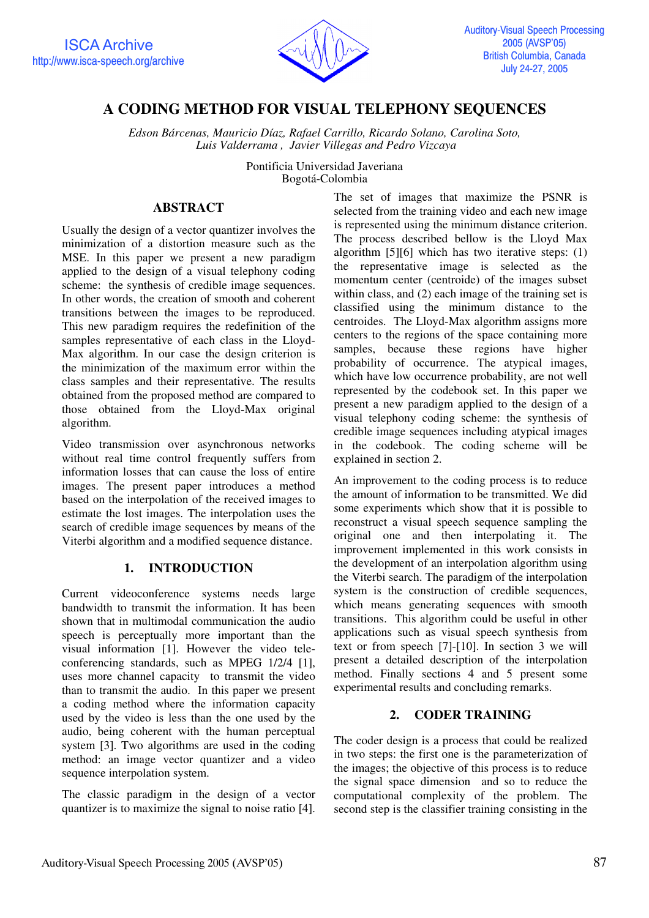

# **A CODING METHOD FOR VISUAL TELEPHONY SEQUENCES**

*Edson Bárcenas, Mauricio Díaz, Rafael Carrillo, Ricardo Solano, Carolina Soto, Luis Valderrama , Javier Villegas and Pedro Vizcaya* 

> Pontificia Universidad Javeriana Bogotá-Colombia

## **ABSTRACT**

Usually the design of a vector quantizer involves the minimization of a distortion measure such as the MSE. In this paper we present a new paradigm applied to the design of a visual telephony coding scheme: the synthesis of credible image sequences. In other words, the creation of smooth and coherent transitions between the images to be reproduced. This new paradigm requires the redefinition of the samples representative of each class in the Lloyd-Max algorithm. In our case the design criterion is the minimization of the maximum error within the class samples and their representative. The results obtained from the proposed method are compared to those obtained from the Lloyd-Max original algorithm.

Video transmission over asynchronous networks without real time control frequently suffers from information losses that can cause the loss of entire images. The present paper introduces a method based on the interpolation of the received images to estimate the lost images. The interpolation uses the search of credible image sequences by means of the Viterbi algorithm and a modified sequence distance.

# **1. INTRODUCTION**

Current videoconference systems needs large bandwidth to transmit the information. It has been shown that in multimodal communication the audio speech is perceptually more important than the visual information [1]. However the video teleconferencing standards, such as MPEG 1/2/4 [1], uses more channel capacity to transmit the video than to transmit the audio. In this paper we present a coding method where the information capacity used by the video is less than the one used by the audio, being coherent with the human perceptual system [3]. Two algorithms are used in the coding method: an image vector quantizer and a video sequence interpolation system.

The classic paradigm in the design of a vector quantizer is to maximize the signal to noise ratio [4]. The set of images that maximize the PSNR is selected from the training video and each new image is represented using the minimum distance criterion. The process described bellow is the Lloyd Max algorithm [5][6] which has two iterative steps: (1) the representative image is selected as the momentum center (centroide) of the images subset within class, and (2) each image of the training set is classified using the minimum distance to the centroides. The Lloyd-Max algorithm assigns more centers to the regions of the space containing more samples, because these regions have higher probability of occurrence. The atypical images, which have low occurrence probability, are not well represented by the codebook set. In this paper we present a new paradigm applied to the design of a visual telephony coding scheme: the synthesis of credible image sequences including atypical images in the codebook. The coding scheme will be explained in section 2.

An improvement to the coding process is to reduce the amount of information to be transmitted. We did some experiments which show that it is possible to reconstruct a visual speech sequence sampling the original one and then interpolating it. The improvement implemented in this work consists in the development of an interpolation algorithm using the Viterbi search. The paradigm of the interpolation system is the construction of credible sequences, which means generating sequences with smooth transitions. This algorithm could be useful in other applications such as visual speech synthesis from text or from speech [7]-[10]. In section 3 we will present a detailed description of the interpolation method. Finally sections 4 and 5 present some experimental results and concluding remarks.

# **2. CODER TRAINING**

The coder design is a process that could be realized in two steps: the first one is the parameterization of the images; the objective of this process is to reduce the signal space dimension and so to reduce the computational complexity of the problem. The second step is the classifier training consisting in the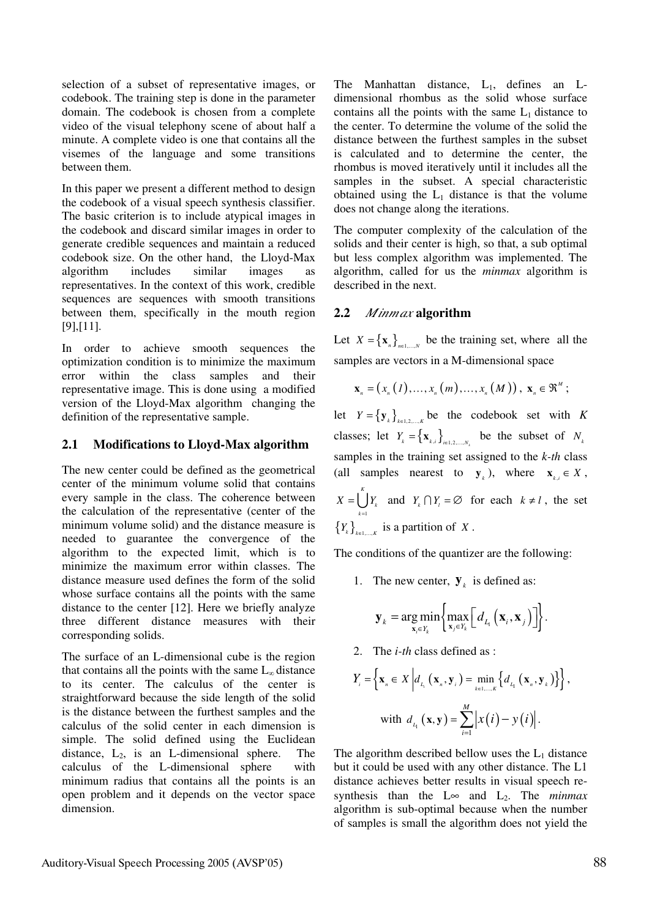selection of a subset of representative images, or codebook. The training step is done in the parameter domain. The codebook is chosen from a complete video of the visual telephony scene of about half a minute. A complete video is one that contains all the visemes of the language and some transitions between them.

In this paper we present a different method to design the codebook of a visual speech synthesis classifier. The basic criterion is to include atypical images in the codebook and discard similar images in order to generate credible sequences and maintain a reduced codebook size. On the other hand, the Lloyd-Max algorithm includes similar images as representatives. In the context of this work, credible sequences are sequences with smooth transitions between them, specifically in the mouth region [9],[11].

In order to achieve smooth sequences the optimization condition is to minimize the maximum error within the class samples and their representative image. This is done using a modified version of the Lloyd-Max algorithm changing the definition of the representative sample.

### **2.1 Modifications to Lloyd-Max algorithm**

The new center could be defined as the geometrical center of the minimum volume solid that contains every sample in the class. The coherence between the calculation of the representative (center of the minimum volume solid) and the distance measure is needed to guarantee the convergence of the algorithm to the expected limit, which is to minimize the maximum error within classes. The distance measure used defines the form of the solid whose surface contains all the points with the same distance to the center [12]. Here we briefly analyze three different distance measures with their corresponding solids.

The surface of an L-dimensional cube is the region that contains all the points with the same  $L_{\infty}$  distance to its center. The calculus of the center is straightforward because the side length of the solid is the distance between the furthest samples and the calculus of the solid center in each dimension is simple. The solid defined using the Euclidean distance,  $L_2$ , is an L-dimensional sphere. The calculus of the L-dimensional sphere with minimum radius that contains all the points is an open problem and it depends on the vector space dimension.

The Manhattan distance,  $L_1$ , defines an Ldimensional rhombus as the solid whose surface contains all the points with the same  $L_1$  distance to the center. To determine the volume of the solid the distance between the furthest samples in the subset is calculated and to determine the center, the rhombus is moved iteratively until it includes all the samples in the subset. A special characteristic obtained using the  $L_1$  distance is that the volume does not change along the iterations.

The computer complexity of the calculation of the solids and their center is high, so that, a sub optimal but less complex algorithm was implemented. The algorithm, called for us the *minmax* algorithm is described in the next.

### **2.2** *Minmax* **algorithm**

Let  $X = \{ \mathbf{x}_n \}_{n=1}^{\infty}$  be the training set, where all the samples are vectors in a M-dimensional space

$$
\mathbf{x}_{n} = (x_{n}(1),...,x_{n}(m),...,x_{n}(M)), \mathbf{x}_{n} \in \mathfrak{R}^{M};
$$

let  $Y = \{ y_k \}_{k=1}^{\infty}$  *k* be the codebook set with *K* classes; let  $Y_k = \{ \mathbf{x}_{k,i} \}_{i \in 1, 2, ..., N_k}$  be the subset of  $N_k$ samples in the training set assigned to the *k-th* class (all samples nearest to  $\mathbf{y}_k$ ), where  $\mathbf{x}_k \in X$ , 1 *K*  $X = \bigcup Y_k$  and  $Y_k \cap Y_l = \emptyset$  for each  $k \neq l$ , the set *k* =  ${Y_k}_{k=1,\ldots,k}$  is a partition of *X*.

The conditions of the quantizer are the following:

1. The new center,  $\mathbf{y}_k$  is defined as:

$$
\mathbf{y}_{k} = \arg\min_{\mathbf{x}_{i} \in Y_{k}} \left\{ \max_{\mathbf{x}_{j} \in Y_{k}} \left[ d_{L_{i}}\left(\mathbf{x}_{i}, \mathbf{x}_{j}\right) \right] \right\}.
$$

2. The *i-th* class defined as :

$$
Y_{i} = \left\{ \mathbf{x}_{n} \in X \middle| d_{L_{i}} \left( \mathbf{x}_{n}, \mathbf{y}_{i} \right) = \min_{k \in I, \dots, K} \left\{ d_{L_{i}} \left( \mathbf{x}_{n}, \mathbf{y}_{k} \right) \right\} \right\},
$$
  
with 
$$
d_{L_{i}} \left( \mathbf{x}, \mathbf{y} \right) = \sum_{i=1}^{M} \left| x(i) - y(i) \right|.
$$

The algorithm described bellow uses the  $L_1$  distance but it could be used with any other distance. The L1 distance achieves better results in visual speech resynthesis than the L∞ and  $L_2$ . The *minmax* algorithm is sub-optimal because when the number of samples is small the algorithm does not yield the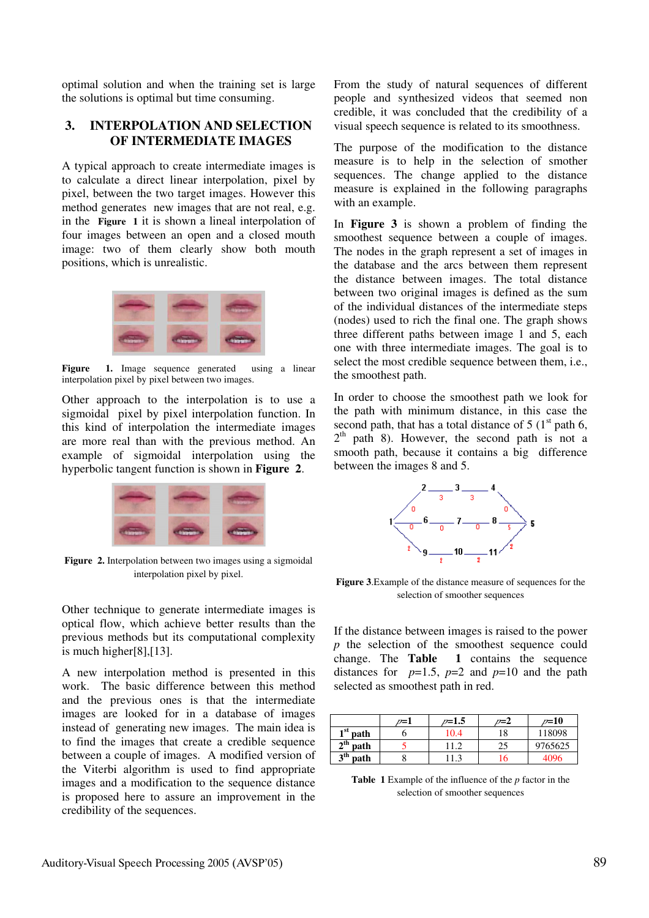optimal solution and when the training set is large the solutions is optimal but time consuming.

### **3. INTERPOLATION AND SELECTION OF INTERMEDIATE IMAGES**

A typical approach to create intermediate images is to calculate a direct linear interpolation, pixel by pixel, between the two target images. However this method generates new images that are not real, e.g. in the **Figure 1** it is shown a lineal interpolation of four images between an open and a closed mouth image: two of them clearly show both mouth positions, which is unrealistic.



**Figure** 1. Image sequence generated using a linear interpolation pixel by pixel between two images.

Other approach to the interpolation is to use a sigmoidal pixel by pixel interpolation function. In this kind of interpolation the intermediate images are more real than with the previous method. An example of sigmoidal interpolation using the hyperbolic tangent function is shown in **Figure 2**.



**Figure 2.** Interpolation between two images using a sigmoidal interpolation pixel by pixel.

Other technique to generate intermediate images is optical flow, which achieve better results than the previous methods but its computational complexity is much higher[8],[13].

A new interpolation method is presented in this work. The basic difference between this method and the previous ones is that the intermediate images are looked for in a database of images instead of generating new images. The main idea is to find the images that create a credible sequence between a couple of images. A modified version of the Viterbi algorithm is used to find appropriate images and a modification to the sequence distance is proposed here to assure an improvement in the credibility of the sequences.

From the study of natural sequences of different people and synthesized videos that seemed non credible, it was concluded that the credibility of a visual speech sequence is related to its smoothness.

The purpose of the modification to the distance measure is to help in the selection of smother sequences. The change applied to the distance measure is explained in the following paragraphs with an example.

In **Figure 3** is shown a problem of finding the smoothest sequence between a couple of images. The nodes in the graph represent a set of images in the database and the arcs between them represent the distance between images. The total distance between two original images is defined as the sum of the individual distances of the intermediate steps (nodes) used to rich the final one. The graph shows three different paths between image 1 and 5, each one with three intermediate images. The goal is to select the most credible sequence between them, i.e., the smoothest path.

In order to choose the smoothest path we look for the path with minimum distance, in this case the second path, that has a total distance of  $5 (1<sup>st</sup>$  path 6,  $2<sup>th</sup>$  path 8). However, the second path is not a smooth path, because it contains a big difference between the images 8 and 5.



**Figure 3**.Example of the distance measure of sequences for the selection of smoother sequences

If the distance between images is raised to the power *p* the selection of the smoothest sequence could change. The **Table 1** contains the sequence distances for  $p=1.5$ ,  $p=2$  and  $p=10$  and the path selected as smoothest path in red.

|                         | $\omega = 1$ | $_{\nu=1.5}$ | $n = 2$ | $\nu = 10$ |
|-------------------------|--------------|--------------|---------|------------|
| $1st$ path              |              | 10.4         | 18      | 118098     |
| $2^{\text{th}}$<br>path |              | 11.2         | 25      | 9765625    |
| 3 <sup>th</sup><br>path |              |              | Iб      | 4096       |

**Table 1** Example of the influence of the *p* factor in the selection of smoother sequences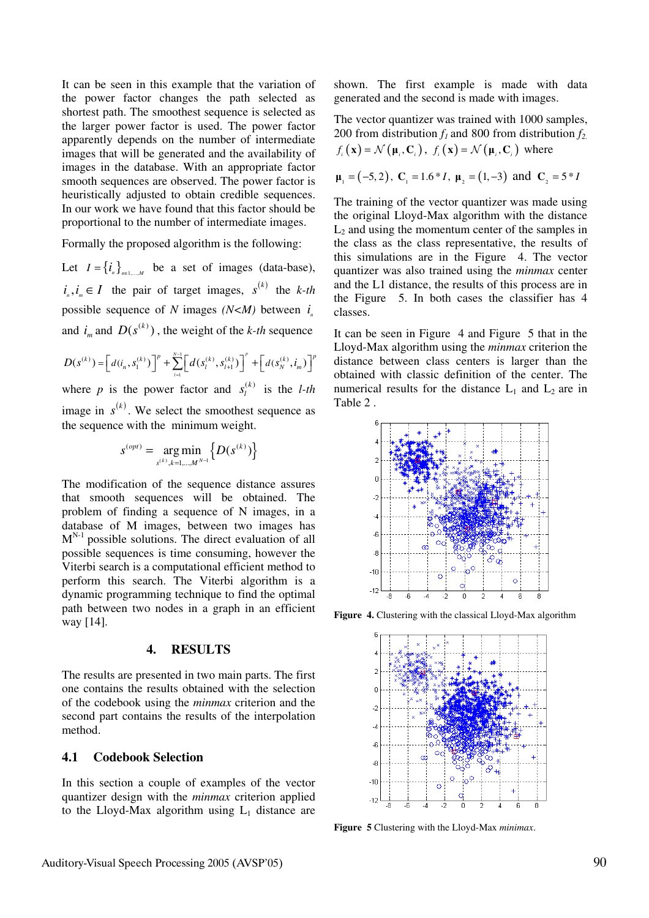It can be seen in this example that the variation of the power factor changes the path selected as shortest path. The smoothest sequence is selected as the larger power factor is used. The power factor apparently depends on the number of intermediate images that will be generated and the availability of images in the database. With an appropriate factor smooth sequences are observed. The power factor is heuristically adjusted to obtain credible sequences. In our work we have found that this factor should be proportional to the number of intermediate images.

Formally the proposed algorithm is the following:

Let  $I = \{i_n\}_{n=1}^{\infty}$  be a set of images (data-base),  $i_n, i_m \in I$  the pair of target images,  $s^{(k)}$  the *k-th* possible sequence of *N* images  $(N < M)$  between *i* and  $i_m$  and  $D(s^{(k)})$ , the weight of the *k-th* sequence

$$
D(s^{(k)}) = \left[d(i_n, s_1^{(k)})\right]^p + \sum_{l=1}^{N-1} \left[d(s_l^{(k)}, s_{l+1}^{(k)})\right]^p + \left[d(s_N^{(k)}, i_m)\right]^p
$$

where *p* is the power factor and  $s_l^{(k)}$  is the *l-th* image in  $s^{(k)}$ . We select the smoothest sequence as the sequence with the minimum weight.

$$
s^{(opt)} = \underset{s^{(k)}, k=1,\dots,M^{N-1}}{\arg \min} \{D(s^{(k)})\}
$$

The modification of the sequence distance assures that smooth sequences will be obtained. The problem of finding a sequence of N images, in a database of M images, between two images has  $M^{N-1}$  possible solutions. The direct evaluation of all possible sequences is time consuming, however the Viterbi search is a computational efficient method to perform this search. The Viterbi algorithm is a dynamic programming technique to find the optimal path between two nodes in a graph in an efficient way [14].

#### **4. RESULTS**

The results are presented in two main parts. The first one contains the results obtained with the selection of the codebook using the *minmax* criterion and the second part contains the results of the interpolation method.

#### **4.1 Codebook Selection**

In this section a couple of examples of the vector quantizer design with the *minmax* criterion applied to the Lloyd-Max algorithm using  $L_1$  distance are shown. The first example is made with data generated and the second is made with images.

The vector quantizer was trained with 1000 samples, 200 from distribution  $f_1$  and 800 from distribution  $f_2$ .  $f(x) = \mathcal{N}(\mu, C)$ ,  $f(x) = \mathcal{N}(\mu, C)$  where

$$
\mu_1 = (-5, 2), \mathbf{C}_1 = 1.6 \times I, \mu_2 = (1, -3) \text{ and } \mathbf{C}_2 = 5 \times I
$$

The training of the vector quantizer was made using the original Lloyd-Max algorithm with the distance  $L_2$  and using the momentum center of the samples in the class as the class representative, the results of this simulations are in the Figure 4. The vector quantizer was also trained using the *minmax* center and the L1 distance, the results of this process are in the Figure 5. In both cases the classifier has 4 classes.

It can be seen in Figure 4 and Figure 5 that in the Lloyd-Max algorithm using the *minmax* criterion the distance between class centers is larger than the obtained with classic definition of the center. The numerical results for the distance  $L_1$  and  $L_2$  are in Table 2 .



**Figure 4.** Clustering with the classical Lloyd-Max algorithm



**Figure 5** Clustering with the Lloyd-Max *minimax*.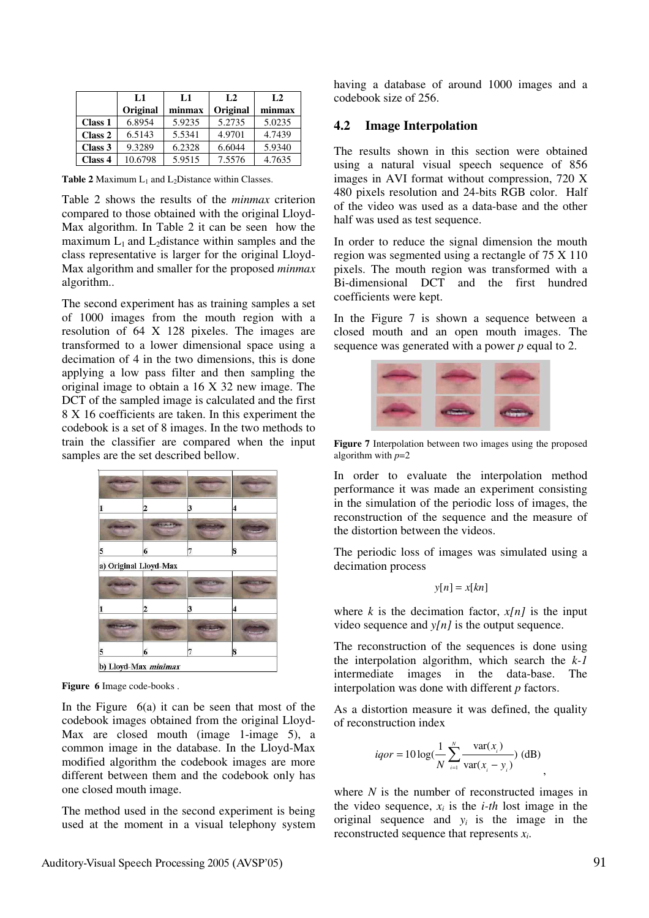|         | L1       | L1     | L <sub>2</sub> | L <sub>2</sub> |
|---------|----------|--------|----------------|----------------|
|         | Original | minmax | Original       | minmax         |
| Class 1 | 6.8954   | 5.9235 | 5.2735         | 5.0235         |
| Class 2 | 6.5143   | 5.5341 | 4.9701         | 4.7439         |
| Class 3 | 9.3289   | 6.2328 | 6.6044         | 5.9340         |
| Class 4 | 10.6798  | 5.9515 | 7.5576         | 4.7635         |

**Table 2** Maximum  $L_1$  and  $L_2$ Distance within Classes.

Table 2 shows the results of the *minmax* criterion compared to those obtained with the original Lloyd-Max algorithm. In Table 2 it can be seen how the maximum  $L_1$  and  $L_2$  distance within samples and the class representative is larger for the original Lloyd-Max algorithm and smaller for the proposed *minmax* algorithm..

The second experiment has as training samples a set of 1000 images from the mouth region with a resolution of 64 X 128 pixeles. The images are transformed to a lower dimensional space using a decimation of 4 in the two dimensions, this is done applying a low pass filter and then sampling the original image to obtain a 16 X 32 new image. The DCT of the sampled image is calculated and the first 8 X 16 coefficients are taken. In this experiment the codebook is a set of 8 images. In the two methods to train the classifier are compared when the input samples are the set described bellow.



**Figure 6** Image code-books .

In the Figure  $6(a)$  it can be seen that most of the codebook images obtained from the original Lloyd-Max are closed mouth (image 1-image 5), a common image in the database. In the Lloyd-Max modified algorithm the codebook images are more different between them and the codebook only has one closed mouth image.

The method used in the second experiment is being used at the moment in a visual telephony system having a database of around 1000 images and a codebook size of 256.

#### **4.2 Image Interpolation**

The results shown in this section were obtained using a natural visual speech sequence of 856 images in AVI format without compression, 720 X 480 pixels resolution and 24-bits RGB color. Half of the video was used as a data-base and the other half was used as test sequence.

In order to reduce the signal dimension the mouth region was segmented using a rectangle of 75 X 110 pixels. The mouth region was transformed with a Bi-dimensional DCT and the first hundred coefficients were kept.

In the Figure 7 is shown a sequence between a closed mouth and an open mouth images. The sequence was generated with a power *p* equal to 2.



**Figure 7** Interpolation between two images using the proposed algorithm with *p*=2

In order to evaluate the interpolation method performance it was made an experiment consisting in the simulation of the periodic loss of images, the reconstruction of the sequence and the measure of the distortion between the videos.

The periodic loss of images was simulated using a decimation process

$$
y[n] = x[kn]
$$

where  $k$  is the decimation factor,  $x[n]$  is the input video sequence and *y[n]* is the output sequence.

The reconstruction of the sequences is done using the interpolation algorithm, which search the *k-1* intermediate images in the data-base. The interpolation was done with different *p* factors.

As a distortion measure it was defined, the quality of reconstruction index

*iqor* = 
$$
10 \log(\frac{1}{N} \sum_{i=1}^{N} \frac{\text{var}(x_i)}{\text{var}(x_i - y_i)})
$$
 (dB)

where *N* is the number of reconstructed images in the video sequence,  $x_i$  is the *i-th* lost image in the original sequence and  $y_i$  is the image in the reconstructed sequence that represents *xi*.